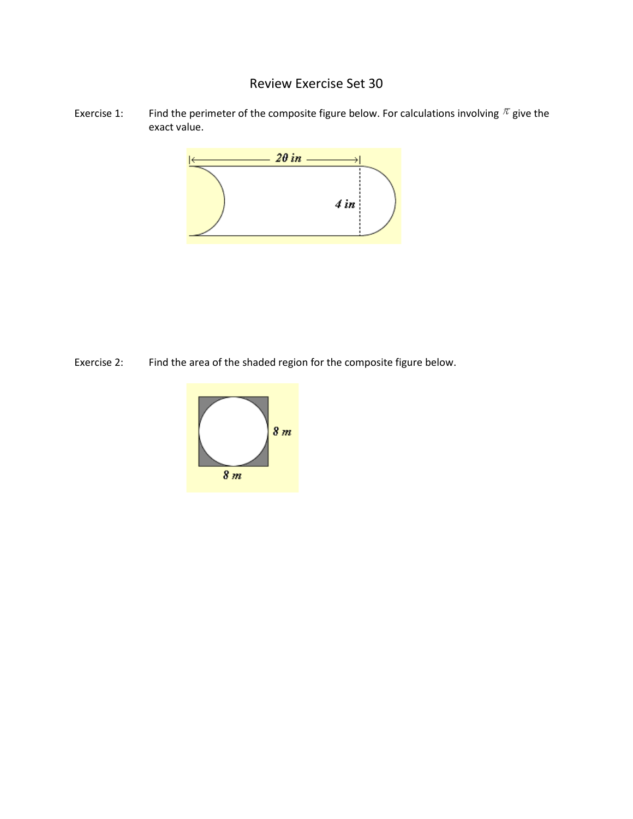## Review Exercise Set 30

Exercise 1: Find the perimeter of the composite figure below. For calculations involving  $\pi$  give the exact value.



Exercise 2: Find the area of the shaded region for the composite figure below.

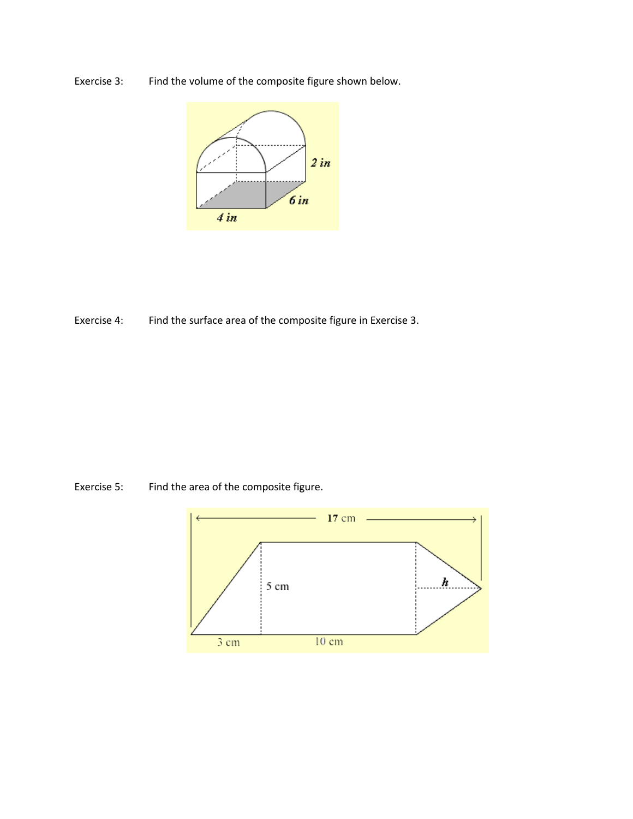Exercise 3: Find the volume of the composite figure shown below.



Exercise 4: Find the surface area of the composite figure in Exercise 3.

Exercise 5: Find the area of the composite figure.

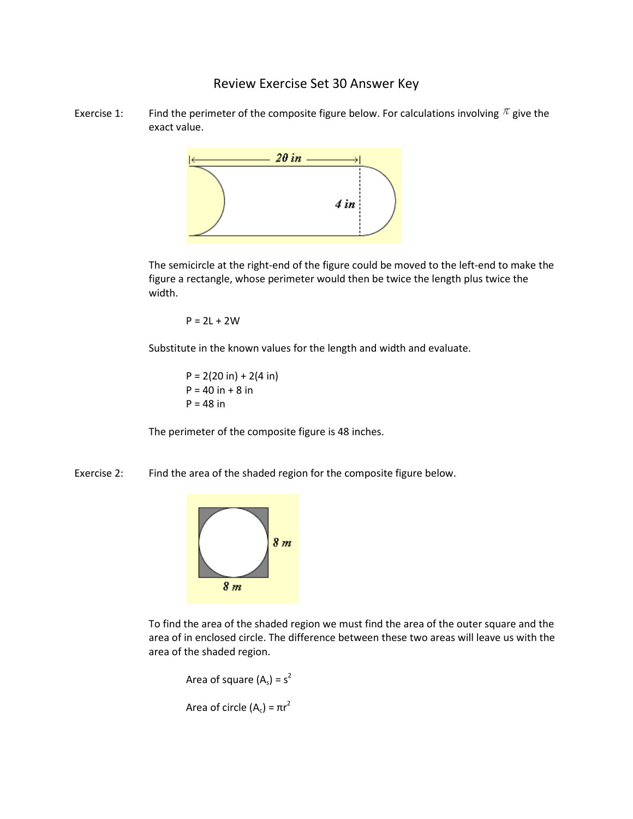## Review Exercise Set 30 Answer Key

Exercise 1: Find the perimeter of the composite figure below. For calculations involving  $\pi$  give the exact value.



The semicircle at the right-end of the figure could be moved to the left-end to make the figure a rectangle, whose perimeter would then be twice the length plus twice the width.

 $P = 2L + 2W$ 

Substitute in the known values for the length and width and evaluate.

 $P = 2(20 in) + 2(4 in)$  $P = 40$  in  $+ 8$  in  $P = 48$  in

The perimeter of the composite figure is 48 inches.

Exercise 2: Find the area of the shaded region for the composite figure below.



To find the area of the shaded region we must find the area of the outer square and the area of in enclosed circle. The difference between these two areas will leave us with the area of the shaded region.

Area of square  $(A_s) = s^2$ Area of circle (A<sub>c</sub>) =  $\pi r^2$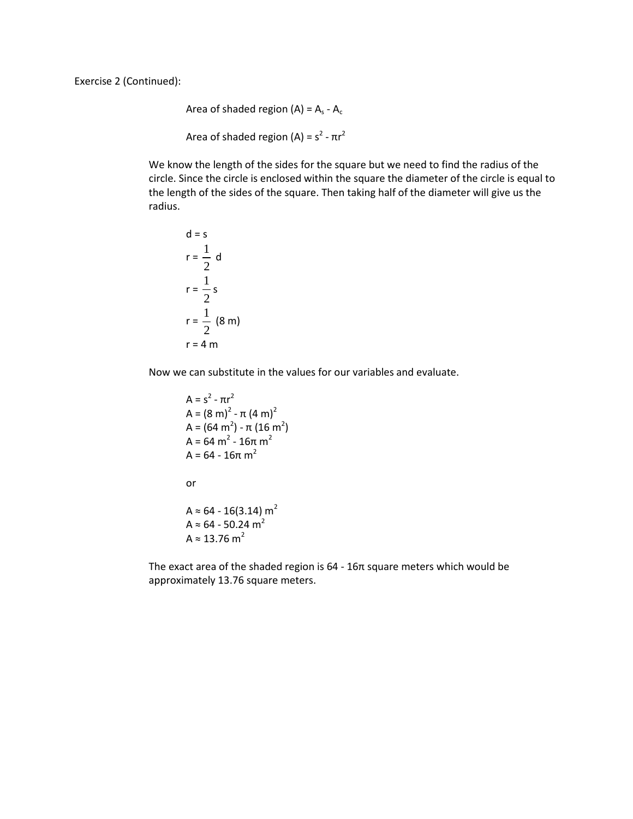Area of shaded region (A) =  $A_s - A_c$ Area of shaded region (A) =  $s^2$  -  $\pi r^2$ 

We know the length of the sides for the square but we need to find the radius of the circle. Since the circle is enclosed within the square the diameter of the circle is equal to the length of the sides of the square. Then taking half of the diameter will give us the radius.

$$
d = s
$$
  
\n
$$
r = \frac{1}{2} d
$$
  
\n
$$
r = \frac{1}{2} s
$$
  
\n
$$
r = \frac{1}{2} (8 m)
$$
  
\n
$$
r = 4 m
$$

Now we can substitute in the values for our variables and evaluate.

$$
A = s2 - \pi r2
$$
  
\n
$$
A = (8 \text{ m})2 - \pi (4 \text{ m})2
$$
  
\n
$$
A = (64 \text{ m}2) - \pi (16 \text{ m}2)
$$
  
\n
$$
A = 64 \text{ m}2 - 16\pi \text{ m}2
$$
  
\nor  
\n
$$
A \approx 64 - 16(3.14) \text{ m}2
$$
  
\n
$$
A \approx 64 - 50.24 \text{ m}2
$$
  
\n
$$
A \approx 13.76 \text{ m}2
$$

The exact area of the shaded region is 64 - 16π square meters which would be approximately 13.76 square meters.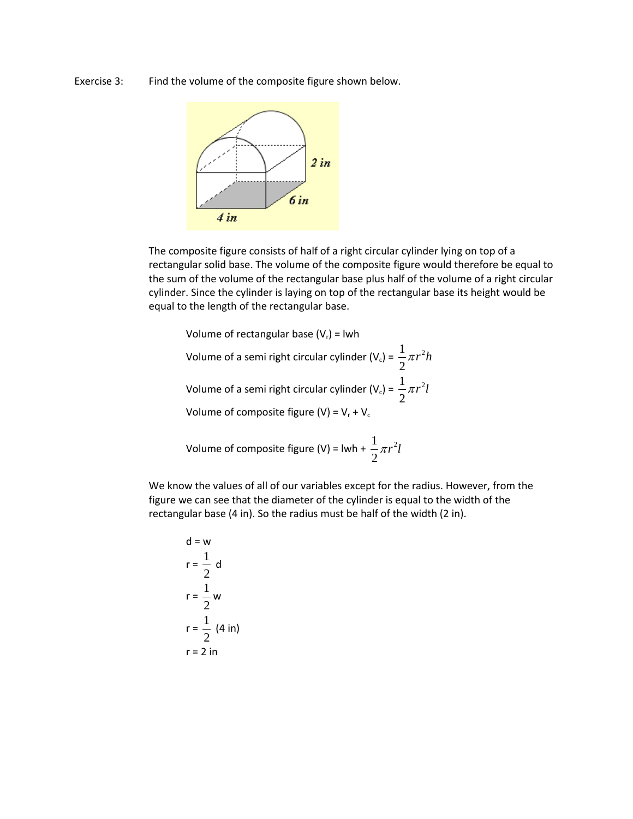Exercise 3: Find the volume of the composite figure shown below.



The composite figure consists of half of a right circular cylinder lying on top of a rectangular solid base. The volume of the composite figure would therefore be equal to the sum of the volume of the rectangular base plus half of the volume of a right circular cylinder. Since the cylinder is laying on top of the rectangular base its height would be equal to the length of the rectangular base.

Volume of rectangular base  $(V_r)$  = lwh

Volume of a semi right circular cylinder (V<sub>c</sub>) =  $\frac{1}{2}\pi r^2$ 2  $\pi r^2 h$ Volume of a semi right circular cylinder (V<sub>c</sub>) =  $\frac{1}{2}\pi r^2$  $\pi r^2 l$ 

2

Volume of composite figure (V) =  $V_r$  +  $V_c$ 

Volume of composite figure (V) = lwh + 
$$
\frac{1}{2}\pi r^2 l
$$

We know the values of all of our variables except for the radius. However, from the figure we can see that the diameter of the cylinder is equal to the width of the rectangular base (4 in). So the radius must be half of the width (2 in).

$$
d = w
$$
  
\n
$$
r = \frac{1}{2} d
$$
  
\n
$$
r = \frac{1}{2} w
$$
  
\n
$$
r = \frac{1}{2} (4 \text{ in})
$$
  
\n
$$
r = 2 \text{ in}
$$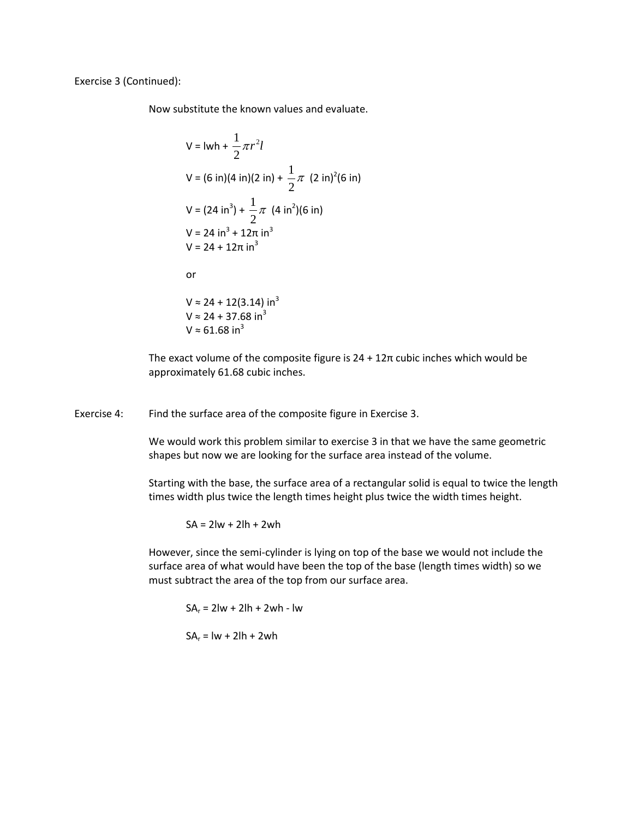Exercise 3 (Continued):

Now substitute the known values and evaluate.

$$
V = |wh + \frac{1}{2}\pi r^2 l
$$
  
\n
$$
V = (6 \text{ in})(4 \text{ in})(2 \text{ in}) + \frac{1}{2}\pi (2 \text{ in})^2(6 \text{ in})
$$
  
\n
$$
V = (24 \text{ in}^3) + \frac{1}{2}\pi (4 \text{ in}^2)(6 \text{ in})
$$
  
\n
$$
V = 24 \text{ in}^3 + 12\pi \text{ in}^3
$$
  
\n
$$
V = 24 + 12\pi \text{ in}^3
$$
  
\nor  
\n
$$
V \approx 24 + 12(3.14) \text{ in}^3
$$
  
\n
$$
V \approx 24 + 37.68 \text{ in}^3
$$
  
\n
$$
V \approx 61.68 \text{ in}^3
$$

The exact volume of the composite figure is  $24 + 12\pi$  cubic inches which would be approximately 61.68 cubic inches.

Exercise 4: Find the surface area of the composite figure in Exercise 3.

We would work this problem similar to exercise 3 in that we have the same geometric shapes but now we are looking for the surface area instead of the volume.

Starting with the base, the surface area of a rectangular solid is equal to twice the length times width plus twice the length times height plus twice the width times height.

 $SA = 2lw + 2lh + 2wh$ 

However, since the semi-cylinder is lying on top of the base we would not include the surface area of what would have been the top of the base (length times width) so we must subtract the area of the top from our surface area.

 $SA_r = 2lw + 2lh + 2wh - lw$  $SA_r = lw + 2lh + 2wh$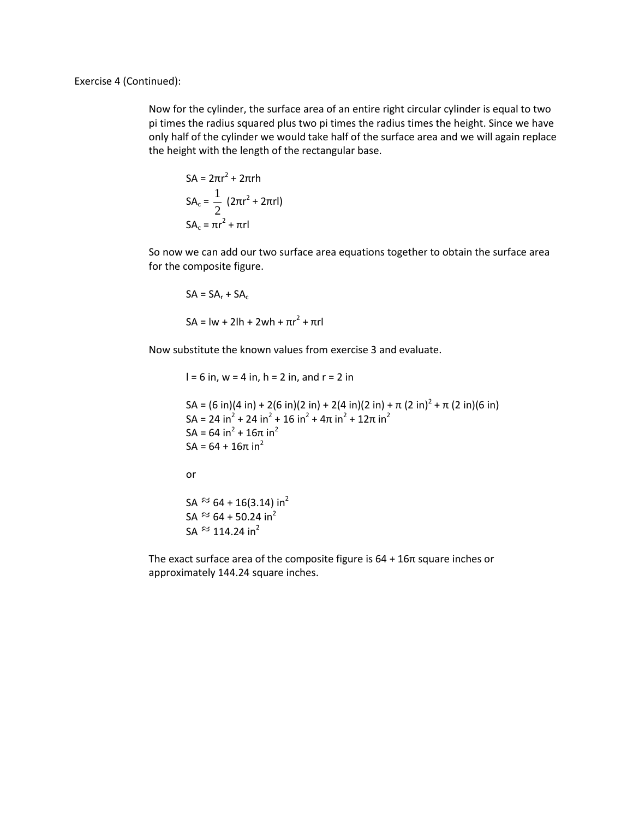Exercise 4 (Continued):

Now for the cylinder, the surface area of an entire right circular cylinder is equal to two pi times the radius squared plus two pi times the radius times the height. Since we have only half of the cylinder we would take half of the surface area and we will again replace the height with the length of the rectangular base.

$$
SA = 2\pi r^2 + 2\pi rh
$$

$$
SA_c = \frac{1}{2} (2\pi r^2 + 2\pi rl)
$$

$$
SA_c = \pi r^2 + \pi rl
$$

So now we can add our two surface area equations together to obtain the surface area for the composite figure.

$$
SA = SAr + SAc
$$
  

$$
SA = lw + 2lh + 2wh + \pi r^2 + \pi rl
$$

Now substitute the known values from exercise 3 and evaluate.

 $l = 6$  in,  $w = 4$  in,  $h = 2$  in, and  $r = 2$  in

```
SA = (6 \text{ in})(4 \text{ in}) + 2(6 \text{ in})(2 \text{ in}) + 2(4 \text{ in})(2 \text{ in}) + \pi (2 \text{ in})^2 + \pi (2 \text{ in})(6 \text{ in})SA = 24 in<sup>2</sup> + 24 in<sup>2</sup> + 16 in<sup>2</sup> + 4\pi in<sup>2</sup> + 12\pi in<sup>2</sup>
SA = 64 in<sup>2</sup> + 16π in<sup>2</sup>
SA = 64 + 16π in<sup>2</sup>
or
SA \approx 64 + 16(3.14) in<sup>2</sup>
SA \approx 64 + 50.24 in<sup>2</sup>
SA \approx 114.24 in<sup>2</sup>
```
The exact surface area of the composite figure is  $64 + 16\pi$  square inches or approximately 144.24 square inches.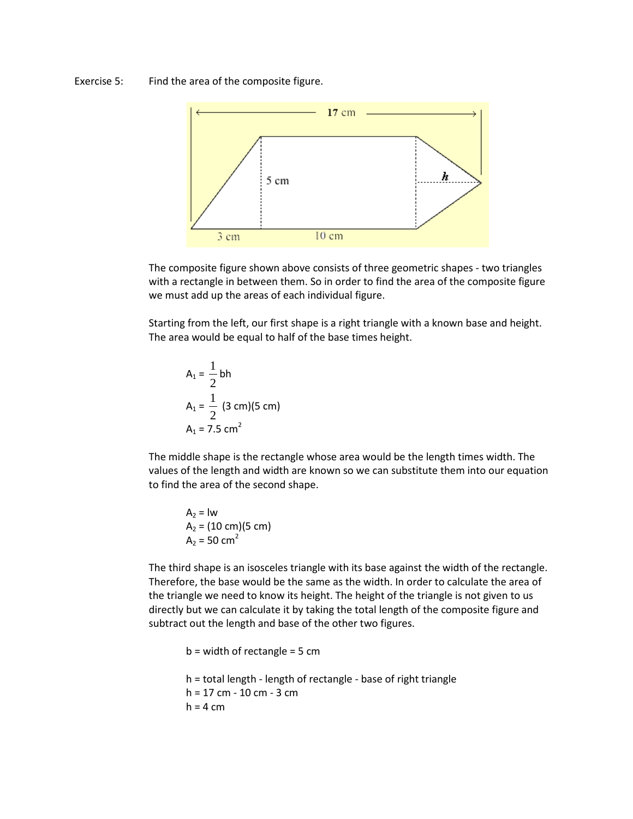Exercise 5: Find the area of the composite figure.



The composite figure shown above consists of three geometric shapes - two triangles with a rectangle in between them. So in order to find the area of the composite figure we must add up the areas of each individual figure.

Starting from the left, our first shape is a right triangle with a known base and height. The area would be equal to half of the base times height.

$$
A_1 = \frac{1}{2} bh
$$
  
\n
$$
A_1 = \frac{1}{2} (3 cm)(5 cm)
$$
  
\n
$$
A_1 = 7.5 cm^2
$$

The middle shape is the rectangle whose area would be the length times width. The values of the length and width are known so we can substitute them into our equation to find the area of the second shape.

$$
A_2 = lw
$$
  
\n $A_2 = (10 \text{ cm})(5 \text{ cm})$   
\n $A_2 = 50 \text{ cm}^2$ 

The third shape is an isosceles triangle with its base against the width of the rectangle. Therefore, the base would be the same as the width. In order to calculate the area of the triangle we need to know its height. The height of the triangle is not given to us directly but we can calculate it by taking the total length of the composite figure and subtract out the length and base of the other two figures.

```
b = width of rectangle = 5 cmh = total length - length of rectangle - base of right triangle
h = 17 cm - 10 cm - 3 cm
h = 4 cm
```